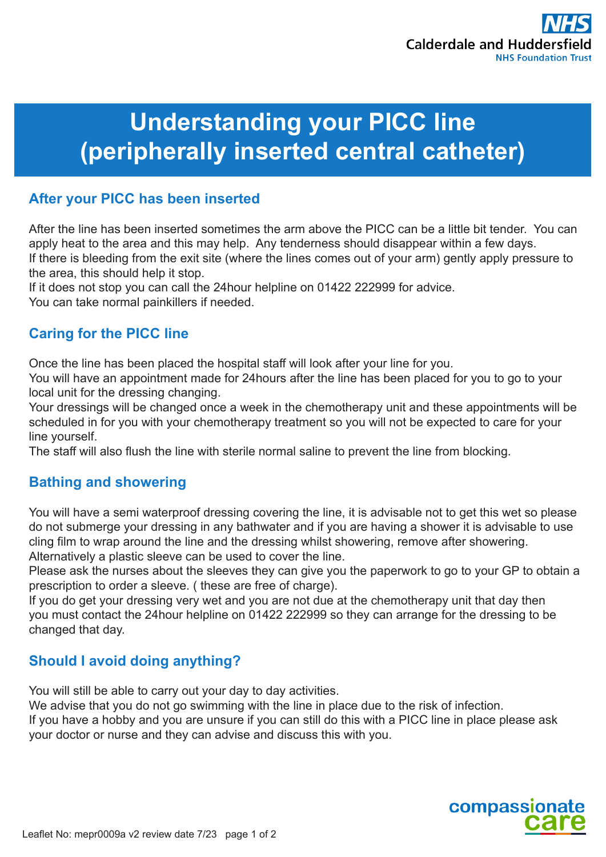

# **Understanding your PICC line (peripherally inserted central catheter)**

### **After your PICC has been inserted**

After the line has been inserted sometimes the arm above the PICC can be a little bit tender. You can apply heat to the area and this may help. Any tenderness should disappear within a few days. If there is bleeding from the exit site (where the lines comes out of your arm) gently apply pressure to the area, this should help it stop.

If it does not stop you can call the 24hour helpline on 01422 222999 for advice.

You can take normal painkillers if needed.

# **Caring for the PICC line**

Once the line has been placed the hospital staff will look after your line for you.

You will have an appointment made for 24hours after the line has been placed for you to go to your local unit for the dressing changing.

Your dressings will be changed once a week in the chemotherapy unit and these appointments will be scheduled in for you with your chemotherapy treatment so you will not be expected to care for your line yourself.

The staff will also flush the line with sterile normal saline to prevent the line from blocking.

# **Bathing and showering**

You will have a semi waterproof dressing covering the line, it is advisable not to get this wet so please do not submerge your dressing in any bathwater and if you are having a shower it is advisable to use cling film to wrap around the line and the dressing whilst showering, remove after showering. Alternatively a plastic sleeve can be used to cover the line.

Please ask the nurses about the sleeves they can give you the paperwork to go to your GP to obtain a prescription to order a sleeve. ( these are free of charge).

If you do get your dressing very wet and you are not due at the chemotherapy unit that day then you must contact the 24hour helpline on 01422 222999 so they can arrange for the dressing to be changed that day.

# **Should I avoid doing anything?**

You will still be able to carry out your day to day activities.

We advise that you do not go swimming with the line in place due to the risk of infection.

If you have a hobby and you are unsure if you can still do this with a PICC line in place please ask your doctor or nurse and they can advise and discuss this with you.